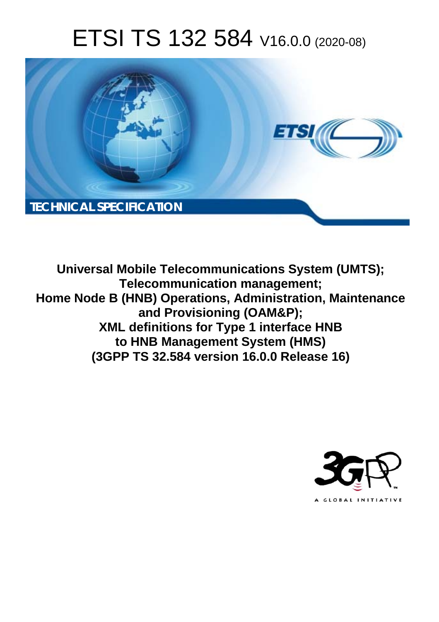# ETSI TS 132 584 V16.0.0 (2020-08)



**Universal Mobile Telecommunications System (UMTS); Telecommunication management; Home Node B (HNB) Operations, Administration, Maintenance and Provisioning (OAM&P); XML definitions for Type 1 interface HNB to HNB Management System (HMS) (3GPP TS 32.584 version 16.0.0 Release 16)** 

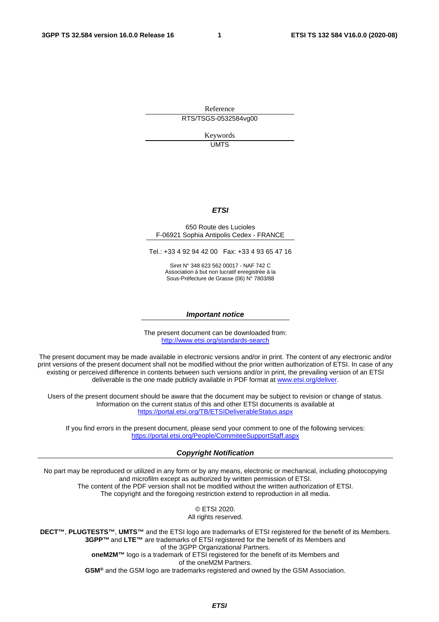Reference RTS/TSGS-0532584vg00

> Keywords **UMTS**

#### *ETSI*

#### 650 Route des Lucioles F-06921 Sophia Antipolis Cedex - FRANCE

Tel.: +33 4 92 94 42 00 Fax: +33 4 93 65 47 16

Siret N° 348 623 562 00017 - NAF 742 C Association à but non lucratif enregistrée à la Sous-Préfecture de Grasse (06) N° 7803/88

#### *Important notice*

The present document can be downloaded from: <http://www.etsi.org/standards-search>

The present document may be made available in electronic versions and/or in print. The content of any electronic and/or print versions of the present document shall not be modified without the prior written authorization of ETSI. In case of any existing or perceived difference in contents between such versions and/or in print, the prevailing version of an ETSI deliverable is the one made publicly available in PDF format at [www.etsi.org/deliver](http://www.etsi.org/deliver).

Users of the present document should be aware that the document may be subject to revision or change of status. Information on the current status of this and other ETSI documents is available at <https://portal.etsi.org/TB/ETSIDeliverableStatus.aspx>

If you find errors in the present document, please send your comment to one of the following services: <https://portal.etsi.org/People/CommiteeSupportStaff.aspx>

#### *Copyright Notification*

No part may be reproduced or utilized in any form or by any means, electronic or mechanical, including photocopying and microfilm except as authorized by written permission of ETSI. The content of the PDF version shall not be modified without the written authorization of ETSI. The copyright and the foregoing restriction extend to reproduction in all media.

> © ETSI 2020. All rights reserved.

**DECT™**, **PLUGTESTS™**, **UMTS™** and the ETSI logo are trademarks of ETSI registered for the benefit of its Members. **3GPP™** and **LTE™** are trademarks of ETSI registered for the benefit of its Members and of the 3GPP Organizational Partners. **oneM2M™** logo is a trademark of ETSI registered for the benefit of its Members and of the oneM2M Partners. **GSM®** and the GSM logo are trademarks registered and owned by the GSM Association.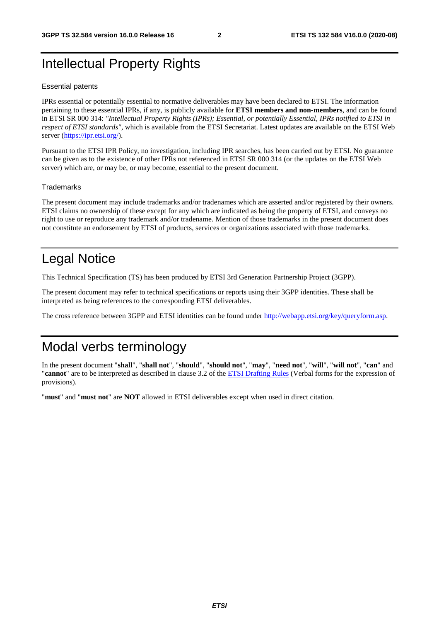### Intellectual Property Rights

#### Essential patents

IPRs essential or potentially essential to normative deliverables may have been declared to ETSI. The information pertaining to these essential IPRs, if any, is publicly available for **ETSI members and non-members**, and can be found in ETSI SR 000 314: *"Intellectual Property Rights (IPRs); Essential, or potentially Essential, IPRs notified to ETSI in respect of ETSI standards"*, which is available from the ETSI Secretariat. Latest updates are available on the ETSI Web server [\(https://ipr.etsi.org/](https://ipr.etsi.org/)).

Pursuant to the ETSI IPR Policy, no investigation, including IPR searches, has been carried out by ETSI. No guarantee can be given as to the existence of other IPRs not referenced in ETSI SR 000 314 (or the updates on the ETSI Web server) which are, or may be, or may become, essential to the present document.

#### **Trademarks**

The present document may include trademarks and/or tradenames which are asserted and/or registered by their owners. ETSI claims no ownership of these except for any which are indicated as being the property of ETSI, and conveys no right to use or reproduce any trademark and/or tradename. Mention of those trademarks in the present document does not constitute an endorsement by ETSI of products, services or organizations associated with those trademarks.

### Legal Notice

This Technical Specification (TS) has been produced by ETSI 3rd Generation Partnership Project (3GPP).

The present document may refer to technical specifications or reports using their 3GPP identities. These shall be interpreted as being references to the corresponding ETSI deliverables.

The cross reference between 3GPP and ETSI identities can be found under<http://webapp.etsi.org/key/queryform.asp>.

### Modal verbs terminology

In the present document "**shall**", "**shall not**", "**should**", "**should not**", "**may**", "**need not**", "**will**", "**will not**", "**can**" and "**cannot**" are to be interpreted as described in clause 3.2 of the [ETSI Drafting Rules](https://portal.etsi.org/Services/editHelp!/Howtostart/ETSIDraftingRules.aspx) (Verbal forms for the expression of provisions).

"**must**" and "**must not**" are **NOT** allowed in ETSI deliverables except when used in direct citation.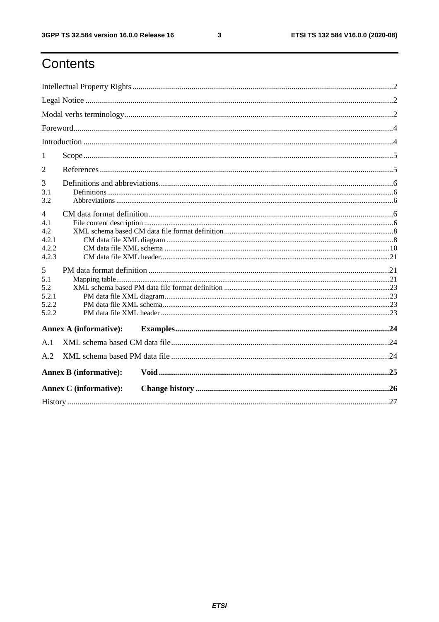$\mathbf{3}$ 

### Contents

| 1                     |                               |  |  |  |  |  |
|-----------------------|-------------------------------|--|--|--|--|--|
| 2                     |                               |  |  |  |  |  |
| 3                     |                               |  |  |  |  |  |
| 3.1                   |                               |  |  |  |  |  |
| 3.2                   |                               |  |  |  |  |  |
| $\overline{4}$<br>4.1 |                               |  |  |  |  |  |
| 4.2                   |                               |  |  |  |  |  |
| 4.2.1                 |                               |  |  |  |  |  |
| 4.2.2                 |                               |  |  |  |  |  |
| 4.2.3                 |                               |  |  |  |  |  |
| 5                     |                               |  |  |  |  |  |
| 5.1                   |                               |  |  |  |  |  |
| 5.2                   |                               |  |  |  |  |  |
| 5.2.1                 |                               |  |  |  |  |  |
| 5.2.2                 |                               |  |  |  |  |  |
| 5.2.2                 |                               |  |  |  |  |  |
|                       | <b>Annex A (informative):</b> |  |  |  |  |  |
| A.1                   |                               |  |  |  |  |  |
| A.2                   |                               |  |  |  |  |  |
|                       | <b>Annex B</b> (informative): |  |  |  |  |  |
|                       | <b>Annex C</b> (informative): |  |  |  |  |  |
|                       |                               |  |  |  |  |  |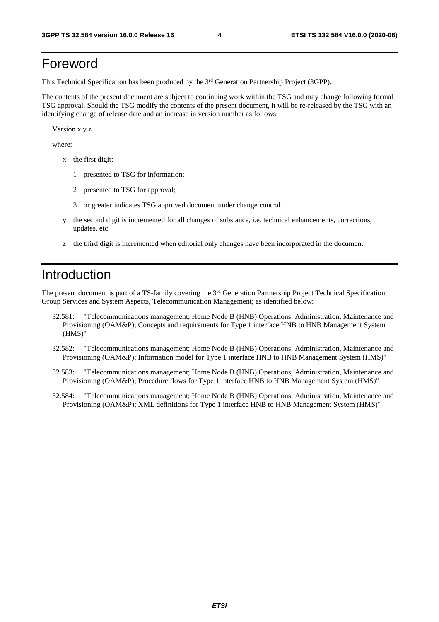### Foreword

This Technical Specification has been produced by the 3rd Generation Partnership Project (3GPP).

The contents of the present document are subject to continuing work within the TSG and may change following formal TSG approval. Should the TSG modify the contents of the present document, it will be re-released by the TSG with an identifying change of release date and an increase in version number as follows:

Version x.y.z

where:

- x the first digit:
	- 1 presented to TSG for information;
	- 2 presented to TSG for approval;
	- 3 or greater indicates TSG approved document under change control.
- y the second digit is incremented for all changes of substance, i.e. technical enhancements, corrections, updates, etc.
- z the third digit is incremented when editorial only changes have been incorporated in the document.

### Introduction

The present document is part of a TS-family covering the 3rd Generation Partnership Project Technical Specification Group Services and System Aspects, Telecommunication Management; as identified below:

- 32.581: "Telecommunications management; Home Node B (HNB) Operations, Administration, Maintenance and Provisioning (OAM&P); Concepts and requirements for Type 1 interface HNB to HNB Management System (HMS)"
- 32.582: "Telecommunications management; Home Node B (HNB) Operations, Administration, Maintenance and Provisioning (OAM&P); Information model for Type 1 interface HNB to HNB Management System (HMS)"
- 32.583: "Telecommunications management; Home Node B (HNB) Operations, Administration, Maintenance and Provisioning (OAM&P); Procedure flows for Type 1 interface HNB to HNB Management System (HMS)"
- 32.584: "Telecommunications management; Home Node B (HNB) Operations, Administration, Maintenance and Provisioning (OAM&P); XML definitions for Type 1 interface HNB to HNB Management System (HMS)"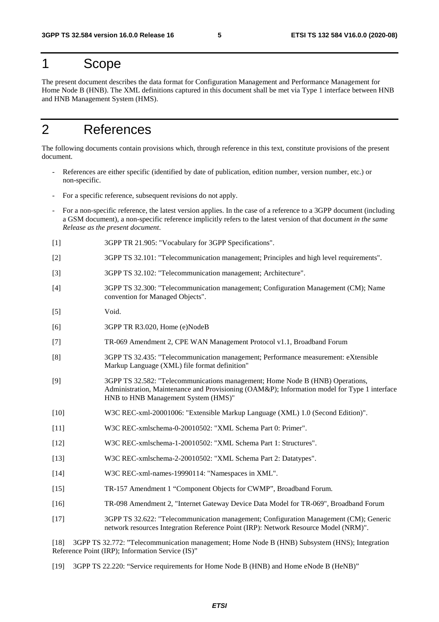#### 1 Scope

The present document describes the data format for Configuration Management and Performance Management for Home Node B (HNB). The XML definitions captured in this document shall be met via Type 1 interface between HNB and HNB Management System (HMS).

### 2 References

The following documents contain provisions which, through reference in this text, constitute provisions of the present document.

- References are either specific (identified by date of publication, edition number, version number, etc.) or non-specific.
- For a specific reference, subsequent revisions do not apply.
- For a non-specific reference, the latest version applies. In the case of a reference to a 3GPP document (including a GSM document), a non-specific reference implicitly refers to the latest version of that document *in the same Release as the present document*.
- [1] 3GPP TR 21.905: "Vocabulary for 3GPP Specifications".
- [2] 3GPP TS 32.101: "Telecommunication management; Principles and high level requirements".
- [3] 3GPP TS 32.102: "Telecommunication management; Architecture".
- [4] 3GPP TS 32.300: "Telecommunication management; Configuration Management (CM); Name convention for Managed Objects".
- [5] Void.
- [6] 3GPP TR R3.020, Home (e)NodeB
- [7] TR-069 Amendment 2, CPE WAN Management Protocol v1.1, Broadband Forum
- [8] 3GPP TS 32.435: "Telecommunication management; Performance measurement: eXtensible Markup Language (XML) file format definition"
- [9] 3GPP TS 32.582: "Telecommunications management; Home Node B (HNB) Operations, Administration, Maintenance and Provisioning (OAM&P); Information model for Type 1 interface HNB to HNB Management System (HMS)"
- [10] W3C REC-xml-20001006: "Extensible Markup Language (XML) 1.0 (Second Edition)".
- [11] W3C REC-xmlschema-0-20010502: "XML Schema Part 0: Primer".
- [12] W3C REC-xmlschema-1-20010502: "XML Schema Part 1: Structures".
- [13] W3C REC-xmlschema-2-20010502: "XML Schema Part 2: Datatypes".
- [14] W3C REC-xml-names-19990114: "Namespaces in XML".
- [15] TR-157 Amendment 1 "Component Objects for CWMP", Broadband Forum.
- [16] TR-098 Amendment 2, "Internet Gateway Device Data Model for TR-069", Broadband Forum
- [17] 3GPP TS 32.622: "Telecommunication management; Configuration Management (CM); Generic network resources Integration Reference Point (IRP): Network Resource Model (NRM)".

[18] 3GPP TS 32.772: "Telecommunication management; Home Node B (HNB) Subsystem (HNS); Integration Reference Point (IRP); Information Service (IS)"

[19] 3GPP TS 22.220: "Service requirements for Home Node B (HNB) and Home eNode B (HeNB)"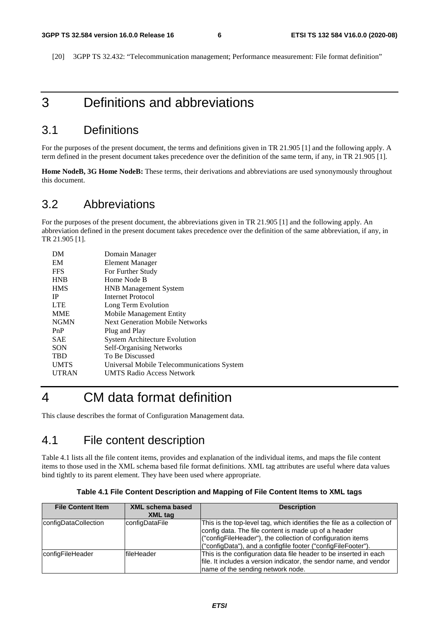[20] 3GPP TS 32.432: "Telecommunication management; Performance measurement: File format definition"

### 3 Definitions and abbreviations

#### 3.1 Definitions

For the purposes of the present document, the terms and definitions given in TR 21.905 [1] and the following apply. A term defined in the present document takes precedence over the definition of the same term, if any, in TR 21.905 [1].

**Home NodeB, 3G Home NodeB:** These terms, their derivations and abbreviations are used synonymously throughout this document.

#### 3.2 Abbreviations

For the purposes of the present document, the abbreviations given in TR 21.905 [1] and the following apply. An abbreviation defined in the present document takes precedence over the definition of the same abbreviation, if any, in TR 21.905 [1].

| DM           | Domain Manager                             |
|--------------|--------------------------------------------|
| EM           | Element Manager                            |
| <b>FFS</b>   | For Further Study                          |
| <b>HNB</b>   | Home Node B                                |
| <b>HMS</b>   | <b>HNB</b> Management System               |
| IP           | Internet Protocol                          |
| <b>LTE</b>   | Long Term Evolution                        |
| <b>MME</b>   | Mobile Management Entity                   |
| <b>NGMN</b>  | <b>Next Generation Mobile Networks</b>     |
| PnP          | Plug and Play                              |
| <b>SAE</b>   | <b>System Architecture Evolution</b>       |
| SON          | <b>Self-Organising Networks</b>            |
| <b>TBD</b>   | To Be Discussed                            |
| <b>UMTS</b>  | Universal Mobile Telecommunications System |
| <b>UTRAN</b> | <b>UMTS Radio Access Network</b>           |
|              |                                            |

### 4 CM data format definition

This clause describes the format of Configuration Management data.

#### 4.1 File content description

Table 4.1 lists all the file content items, provides and explanation of the individual items, and maps the file content items to those used in the XML schema based file format definitions. XML tag attributes are useful where data values bind tightly to its parent element. They have been used where appropriate.

| <b>File Content Item</b> | <b>XML schema based</b><br>XML tag | <b>Description</b>                                                                                                                                                                                                                                              |
|--------------------------|------------------------------------|-----------------------------------------------------------------------------------------------------------------------------------------------------------------------------------------------------------------------------------------------------------------|
| configDataCollection     | configDataFile                     | This is the top-level tag, which identifies the file as a collection of<br>config data. The file content is made up of a header<br>("configFileHeader"), the collection of configuration items<br>("configData"), and a configfile footer ("configFileFooter"). |
| configFileHeader         | lfileHeader                        | This is the configuration data file header to be inserted in each<br>file. It includes a version indicator, the sendor name, and vendor<br>name of the sending network node.                                                                                    |

**Table 4.1 File Content Description and Mapping of File Content Items to XML tags**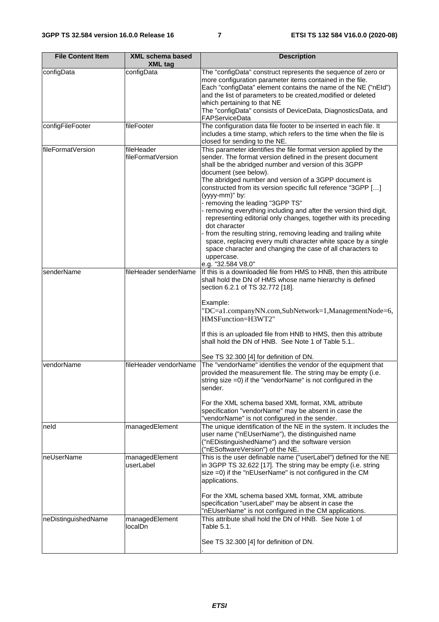| <b>File Content Item</b> | <b>XML schema based</b><br><b>XML tag</b> | <b>Description</b>                                                                                                                                                                                                                                                                                                                                                                                                                                                                                                                                                                                                                                                                                                                                                                              |
|--------------------------|-------------------------------------------|-------------------------------------------------------------------------------------------------------------------------------------------------------------------------------------------------------------------------------------------------------------------------------------------------------------------------------------------------------------------------------------------------------------------------------------------------------------------------------------------------------------------------------------------------------------------------------------------------------------------------------------------------------------------------------------------------------------------------------------------------------------------------------------------------|
| configData               | configData                                | The "configData" construct represents the sequence of zero or<br>more configuration parameter items contained in the file.<br>Each "configData" element contains the name of the NE ("nEId")<br>and the list of parameters to be created, modified or deleted<br>which pertaining to that NE<br>The "configData" consists of DeviceData, DiagnosticsData, and<br>FAPServiceData                                                                                                                                                                                                                                                                                                                                                                                                                 |
| configFileFooter         | fileFooter                                | The configuration data file footer to be inserted in each file. It<br>includes a time stamp, which refers to the time when the file is<br>closed for sending to the NE.                                                                                                                                                                                                                                                                                                                                                                                                                                                                                                                                                                                                                         |
| fileFormatVersion        | fileHeader<br>fileFormatVersion           | This parameter identifies the file format version applied by the<br>sender. The format version defined in the present document<br>shall be the abridged number and version of this 3GPP<br>document (see below).<br>The abridged number and version of a 3GPP document is<br>constructed from its version specific full reference "3GPP []<br>(yyyy-mm)" by:<br>- removing the leading "3GPP TS"<br>removing everything including and after the version third digit,<br>representing editorial only changes, together with its preceding<br>dot character<br>from the resulting string, removing leading and trailing white<br>space, replacing every multi character white space by a single<br>space character and changing the case of all characters to<br>uppercase.<br>e.g. "32.584 V8.0" |
| senderName               | fileHeader senderName                     | If this is a downloaded file from HMS to HNB, then this attribute<br>shall hold the DN of HMS whose name hierarchy is defined<br>section 6.2.1 of TS 32.772 [18].<br>Example:<br>"DC=a1.companyNN.com,SubNetwork=1,ManagementNode=6,<br>HMSFunction=H3WT2"<br>If this is an uploaded file from HNB to HMS, then this attribute<br>shall hold the DN of HNB. See Note 1 of Table 5.1.<br>See TS 32.300 [4] for definition of DN.                                                                                                                                                                                                                                                                                                                                                                 |
| vendorName               | fileHeader vendorName                     | The "vendorName" identifies the vendor of the equipment that<br>provided the measurement file. The string may be empty (i.e.<br>string size =0) if the "vendorName" is not configured in the<br>sender.<br>For the XML schema based XML format, XML attribute<br>specification "vendorName" may be absent in case the<br>"vendorName" is not configured in the sender.                                                                                                                                                                                                                                                                                                                                                                                                                          |
| neld                     | managedElement                            | The unique identification of the NE in the system. It includes the<br>user name ("nEUserName"), the distinguished name<br>("nEDistinguishedName") and the software version<br>("nESoftwareVersion") of the NE.                                                                                                                                                                                                                                                                                                                                                                                                                                                                                                                                                                                  |
| neUserName               | managedElement<br>userLabel               | This is the user definable name ("userLabel") defined for the NE<br>in 3GPP TS 32.622 [17]. The string may be empty (i.e. string<br>size =0) if the "nEUserName" is not configured in the CM<br>applications.<br>For the XML schema based XML format, XML attribute<br>specification "userLabel" may be absent in case the<br>"nEUserName" is not configured in the CM applications.                                                                                                                                                                                                                                                                                                                                                                                                            |
| neDistinguishedName      | managedElement<br>localDn                 | This attribute shall hold the DN of HNB. See Note 1 of<br>Table 5.1.<br>See TS 32.300 [4] for definition of DN.                                                                                                                                                                                                                                                                                                                                                                                                                                                                                                                                                                                                                                                                                 |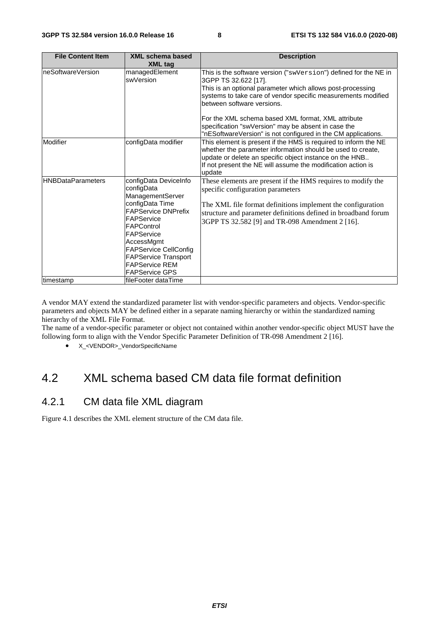| <b>File Content Item</b> | XML schema based<br><b>XML tag</b>                                                                                                                                                                                                                                                | <b>Description</b>                                                                                                                                                                                                                                                                                                                                                                                                                  |
|--------------------------|-----------------------------------------------------------------------------------------------------------------------------------------------------------------------------------------------------------------------------------------------------------------------------------|-------------------------------------------------------------------------------------------------------------------------------------------------------------------------------------------------------------------------------------------------------------------------------------------------------------------------------------------------------------------------------------------------------------------------------------|
| neSoftwareVersion        | managedElement<br>swVersion                                                                                                                                                                                                                                                       | This is the software version ("swVersion") defined for the NE in<br>3GPP TS 32.622 [17].<br>This is an optional parameter which allows post-processing<br>systems to take care of vendor specific measurements modified<br>between software versions.<br>For the XML schema based XML format, XML attribute<br>specification "swVersion" may be absent in case the<br>"nESoftwareVersion" is not configured in the CM applications. |
| Modifier                 | configData modifier                                                                                                                                                                                                                                                               | This element is present if the HMS is required to inform the NE<br>whether the parameter information should be used to create,<br>update or delete an specific object instance on the HNB<br>If not present the NE will assume the modification action is<br>update                                                                                                                                                                 |
| <b>HNBDataParameters</b> | configData DeviceInfo<br>configData<br>ManagementServer<br>configData Time<br><b>FAPService DNPrefix</b><br>FAPService<br>FAPControl<br>FAPService<br>AccessMgmt<br><b>FAPService CellConfig</b><br><b>FAPService Transport</b><br><b>FAPService REM</b><br><b>FAPService GPS</b> | These elements are present if the HMS requires to modify the<br>specific configuration parameters<br>The XML file format definitions implement the configuration<br>structure and parameter definitions defined in broadband forum<br>3GPP TS 32.582 [9] and TR-098 Amendment 2 [16].                                                                                                                                               |
| timestamp                | lfileFooter dataTime                                                                                                                                                                                                                                                              |                                                                                                                                                                                                                                                                                                                                                                                                                                     |

A vendor MAY extend the standardized parameter list with vendor-specific parameters and objects. Vendor-specific parameters and objects MAY be defined either in a separate naming hierarchy or within the standardized naming hierarchy of the XML File Format.

The name of a vendor-specific parameter or object not contained within another vendor-specific object MUST have the following form to align with the Vendor Specific Parameter Definition of TR-098 Amendment 2 [16].

• X\_<VENDOR>\_VendorSpecificName

### 4.2 XML schema based CM data file format definition

#### 4.2.1 CM data file XML diagram

Figure 4.1 describes the XML element structure of the CM data file.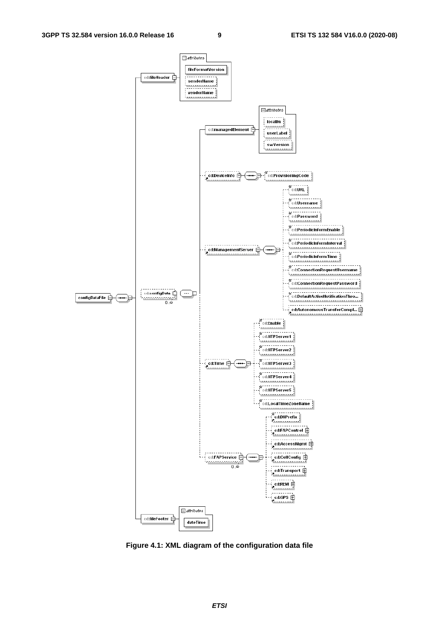

**Figure 4.1: XML diagram of the configuration data file**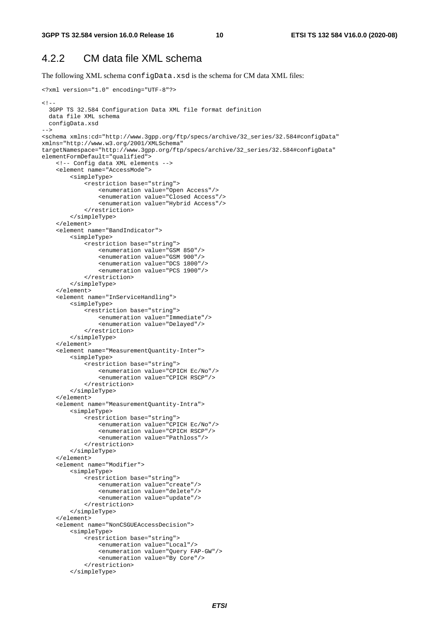#### 4.2.2 CM data file XML schema

The following XML schema configData.xsd is the schema for CM data XML files:

```
<?xml version="1.0" encoding="UTF-8"?> 
2 - 1 - 1 3GPP TS 32.584 Configuration Data XML file format definition 
   data file XML schema 
  configData.xsd 
--> 
<schema xmlns:cd="http://www.3gpp.org/ftp/specs/archive/32_series/32.584#configData" 
xmlns="http://www.w3.org/2001/XMLSchema" 
targetNamespace="http://www.3gpp.org/ftp/specs/archive/32_series/32.584#configData" 
elementFormDefault="qualified">
     <!-- Config data XML elements --> 
     <element name="AccessMode"> 
         <simpleType> 
              <restriction base="string"> 
                  <enumeration value="Open Access"/> 
                  <enumeration value="Closed Access"/> 
                  <enumeration value="Hybrid Access"/> 
              </restriction> 
         </simpleType> 
     </element> 
     <element name="BandIndicator"> 
         <simpleType> 
              <restriction base="string"> 
                  <enumeration value="GSM 850"/> 
                  <enumeration value="GSM 900"/> 
                  <enumeration value="DCS 1800"/> 
                  <enumeration value="PCS 1900"/> 
              </restriction> 
         </simpleType> 
     </element> 
     <element name="InServiceHandling"> 
         <simpleType> 
             -<br><restriction base="string">
                  <enumeration value="Immediate"/> 
                  <enumeration value="Delayed"/> 
              </restriction> 
         </simpleType> 
     </element> 
     <element name="MeasurementQuantity-Inter"> 
         <simpleType> 
              <restriction base="string"> 
                  <enumeration value="CPICH Ec/No"/> 
                  <enumeration value="CPICH RSCP"/> 
              </restriction> 
         </simpleType> 
     </element> 
     <element name="MeasurementQuantity-Intra"> 
         <simpleType> 
              <restriction base="string"> 
                  <enumeration value="CPICH Ec/No"/> 
                  <enumeration value="CPICH RSCP"/> 
                  <enumeration value="Pathloss"/> 
              </restriction> 
         </simpleType> 
     </element> 
     <element name="Modifier"> 
         <simpleType> 
              <restriction base="string"> 
                  <enumeration value="create"/> 
                  <enumeration value="delete"/> 
                  <enumeration value="update"/> 
              </restriction> 
          </simpleType> 
     </element> 
     <element name="NonCSGUEAccessDecision"> 
         <simpleType> 
              <restriction base="string"> 
                  <enumeration value="Local"/> 
                  <enumeration value="Query FAP-GW"/> 
                  <enumeration value="By Core"/> 
              </restriction> 
          </simpleType>
```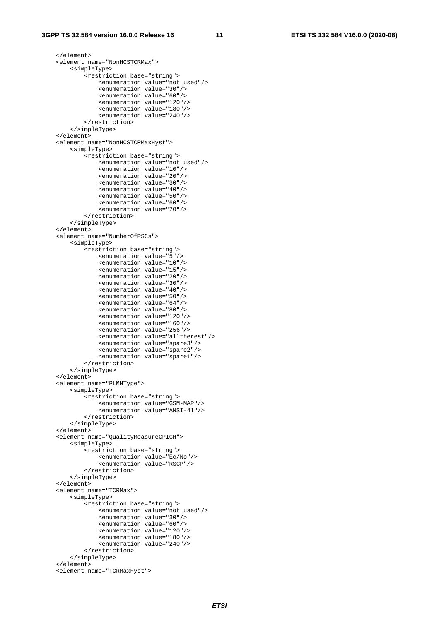```
 </element> 
 <element name="NonHCSTCRMax"> 
     <simpleType> 
         <restriction base="string"> 
              <enumeration value="not used"/> 
              <enumeration value="30"/> 
              <enumeration value="60"/> 
              <enumeration value="120"/> 
              <enumeration value="180"/> 
              <enumeration value="240"/> 
         </restriction> 
     </simpleType> 
 </element> 
 <element name="NonHCSTCRMaxHyst"> 
     <simpleType> 
         <restriction base="string"> 
              <enumeration value="not used"/> 
              <enumeration value="10"/> 
              <enumeration value="20"/> 
              <enumeration value="30"/> 
              <enumeration value="40"/> 
              <enumeration value="50"/> 
              <enumeration value="60"/> 
              <enumeration value="70"/> 
         </restriction> 
     </simpleType> 
 </element> 
 <element name="NumberOfPSCs"> 
     <simpleType> 
         <restriction base="string"> 
              <enumeration value="5"/> 
              <enumeration value="10"/> 
              <enumeration value="15"/> 
              <enumeration value="20"/> 
              <enumeration value="30"/> 
              <enumeration value="40"/> 
              <enumeration value="50"/> 
              <enumeration value="64"/> 
              <enumeration value="80"/> 
              <enumeration value="120"/> 
              <enumeration value="160"/> 
              <enumeration value="256"/> 
              <enumeration value="alltherest"/> 
              <enumeration value="spare3"/> 
              <enumeration value="spare2"/> 
              <enumeration value="spare1"/> 
         </restriction> 
     </simpleType> 
 </element> 
 <element name="PLMNType"> 
     <simpleType> 
         <restriction base="string"> 
              <enumeration value="GSM-MAP"/> 
              <enumeration value="ANSI-41"/> 
         </restriction> 
     </simpleType> 
\epsilon/element>
 <element name="QualityMeasureCPICH"> 
     <simpleType> 
         <restriction base="string"> 
              <enumeration value="Ec/No"/> 
              <enumeration value="RSCP"/> 
         </restriction> 
     </simpleType> 
 </element> 
 <element name="TCRMax"> 
     <simpleType> 
         <restriction base="string"> 
              <enumeration value="not used"/> 
              <enumeration value="30"/> 
              <enumeration value="60"/> 
              <enumeration value="120"/> 
              <enumeration value="180"/> 
              <enumeration value="240"/> 
         </restriction> 
     </simpleType> 
 </element> 
 <element name="TCRMaxHyst">
```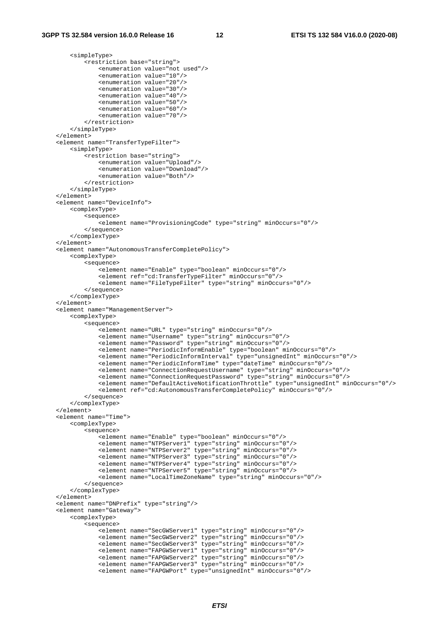<simpleType>

```
 <restriction base="string"> 
                 <enumeration value="not used"/> 
                 <enumeration value="10"/> 
                 <enumeration value="20"/> 
                 <enumeration value="30"/> 
                 <enumeration value="40"/> 
                 <enumeration value="50"/> 
                 <enumeration value="60"/> 
                 <enumeration value="70"/> 
            </restriction> 
        </simpleType> 
    </element> 
    <element name="TransferTypeFilter"> 
        <simpleType> 
            <restriction base="string"> 
                 <enumeration value="Upload"/> 
                 <enumeration value="Download"/> 
                 <enumeration value="Both"/> 
            </restriction> 
        </simpleType> 
    </element> 
    <element name="DeviceInfo"> 
        <complexType> 
            <sequence> 
                <element name="ProvisioningCode" type="string" minOccurs="0"/> 
            </sequence> 
         </complexType> 
    </element> 
    <element name="AutonomousTransferCompletePolicy"> 
        <complexType> 
            <sequence> 
                 <element name="Enable" type="boolean" minOccurs="0"/> 
                 <element ref="cd:TransferTypeFilter" minOccurs="0"/> 
                 <element name="FileTypeFilter" type="string" minOccurs="0"/> 
             </sequence> 
         </complexType> 
    </element> 
    <element name="ManagementServer"> 
        <complexType> 
             <sequence> 
                 <element name="URL" type="string" minOccurs="0"/> 
 <element name="Username" type="string" minOccurs="0"/> 
 <element name="Password" type="string" minOccurs="0"/> 
                 <element name="PeriodicInformEnable" type="boolean" minOccurs="0"/> 
                 <element name="PeriodicInformInterval" type="unsignedInt" minOccurs="0"/> 
                 <element name="PeriodicInformTime" type="dateTime" minOccurs="0"/> 
 <element name="ConnectionRequestUsername" type="string" minOccurs="0"/> 
 <element name="ConnectionRequestPassword" type="string" minOccurs="0"/> 
                 <element name="DefaultActiveNotificationThrottle" type="unsignedInt" minOccurs="0"/> 
                 <element ref="cd:AutonomousTransferCompletePolicy" minOccurs="0"/> 
            </sequence> 
        </complexType> 
    </element> 
    <element name="Time"> 
        <complexType> 
            <sequence> 
                 <element name="Enable" type="boolean" minOccurs="0"/> 
 <element name="NTPServer1" type="string" minOccurs="0"/> 
 <element name="NTPServer2" type="string" minOccurs="0"/> 
                 <element name="NTPServer3" type="string" minOccurs="0"/> 
                 <element name="NTPServer4" type="string" minOccurs="0"/> 
                 <element name="NTPServer5" type="string" minOccurs="0"/> 
                 <element name="LocalTimeZoneName" type="string" minOccurs="0"/> 
            </sequence> 
        </complexType> 
    </element> 
    <element name="DNPrefix" type="string"/> 
    <element name="Gateway"> 
         <complexType> 
             <sequence> 
                 <element name="SecGWServer1" type="string" minOccurs="0"/> 
                 <element name="SecGWServer2" type="string" minOccurs="0"/> 
 <element name="SecGWServer3" type="string" minOccurs="0"/> 
 <element name="FAPGWServer1" type="string" minOccurs="0"/> 
                 <element name="FAPGWServer2" type="string" minOccurs="0"/> 
                 <element name="FAPGWServer3" type="string" minOccurs="0"/> 
                 <element name="FAPGWPort" type="unsignedInt" minOccurs="0"/>
```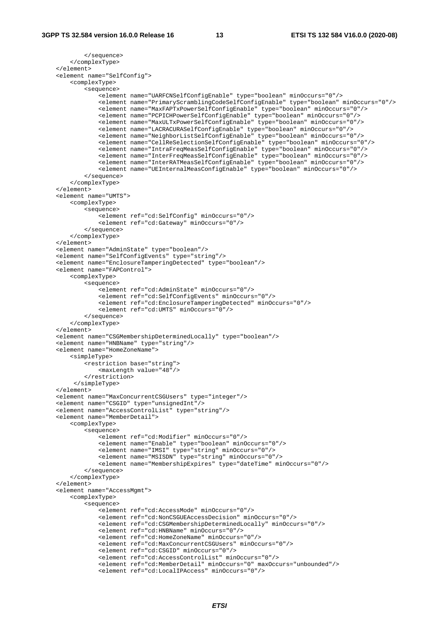```
 </sequence> 
         </complexType> 
    </element> 
    <element name="SelfConfig"> 
         <complexType> 
             <sequence> 
                 <element name="UARFCNSelfConfigEnable" type="boolean" minOccurs="0"/> 
                 <element name="PrimaryScramblingCodeSelfConfigEnable" type="boolean" minOccurs="0"/> 
                 <element name="MaxFAPTxPowerSelfConfigEnable" type="boolean" minOccurs="0"/> 
                 <element name="PCPICHPowerSelfConfigEnable" type="boolean" minOccurs="0"/> 
                 <element name="MaxULTxPowerSelfConfigEnable" type="boolean" minOccurs="0"/> 
                 <element name="LACRACURASelfConfigEnable" type="boolean" minOccurs="0"/> 
                 <element name="NeighborListSelfConfigEnable" type="boolean" minOccurs="0"/> 
                 <element name="CellReSelectionSelfConfigEnable" type="boolean" minOccurs="0"/> 
 <element name="IntraFreqMeasSelfConfigEnable" type="boolean" minOccurs="0"/> 
 <element name="InterFreqMeasSelfConfigEnable" type="boolean" minOccurs="0"/> 
                 <element name="InterRATMeasSelfConfigEnable" type="boolean" minOccurs="0"/> 
                 <element name="UEInternalMeasConfigEnable" type="boolean" minOccurs="0"/> 
             </sequence> 
         </complexType> 
    </element> 
    <element name="UMTS"> 
         <complexType> 
             <sequence> 
                 <element ref="cd:SelfConfig" minOccurs="0"/> 
                 <element ref="cd:Gateway" minOccurs="0"/> 
             </sequence> 
         </complexType> 
    </element> 
    <element name="AdminState" type="boolean"/> 
    <element name="SelfConfigEvents" type="string"/> 
    <element name="EnclosureTamperingDetected" type="boolean"/> 
    <element name="FAPControl"> 
         <complexType> 
             <sequence> 
                 <element ref="cd:AdminState" minOccurs="0"/> 
                 <element ref="cd:SelfConfigEvents" minOccurs="0"/> 
                 <element ref="cd:EnclosureTamperingDetected" minOccurs="0"/> 
                 <element ref="cd:UMTS" minOccurs="0"/> 
             </sequence> 
         </complexType> 
    </element> 
    <element name="CSGMembershipDeterminedLocally" type="boolean"/> 
    <element name="HNBName" type="string"/> 
    <element name="HomeZoneName"> 
         <simpleType> 
             <restriction base="string"> 
                 <maxLength value="48"/> 
             </restriction> 
          </simpleType> 
    </element> 
    <element name="MaxConcurrentCSGUsers" type="integer"/> 
    <element name="CSGID" type="unsignedInt"/> 
    <element name="AccessControlList" type="string"/> 
    <element name="MemberDetail"> 
         <complexType> 
             <sequence> 
                 <element ref="cd:Modifier" minOccurs="0"/> 
                 <element name="Enable" type="boolean" minOccurs="0"/> 
                 <element name="IMSI" type="string" minOccurs="0"/> 
                 <element name="MSISDN" type="string" minOccurs="0"/> 
                 <element name="MembershipExpires" type="dateTime" minOccurs="0"/> 
             </sequence> 
         </complexType> 
    </element> 
    <element name="AccessMgmt"> 
         <complexType> 
             <sequence> 
                 <element ref="cd:AccessMode" minOccurs="0"/> 
                 <element ref="cd:NonCSGUEAccessDecision" minOccurs="0"/> 
                 <element ref="cd:CSGMembershipDeterminedLocally" minOccurs="0"/> 
                 <element ref="cd:HNBName" minOccurs="0"/> 
                 <element ref="cd:HomeZoneName" minOccurs="0"/> 
                 <element ref="cd:MaxConcurrentCSGUsers" minOccurs="0"/> 
                 <element ref="cd:CSGID" minOccurs="0"/> 
                 <element ref="cd:AccessControlList" minOccurs="0"/> 
 <element ref="cd:MemberDetail" minOccurs="0" maxOccurs="unbounded"/> 
 <element ref="cd:LocalIPAccess" minOccurs="0"/>
```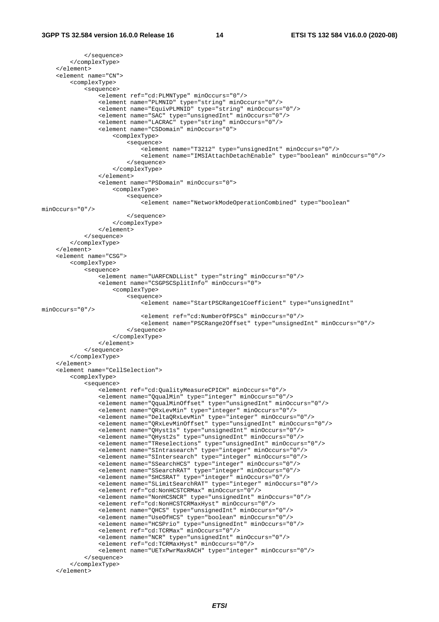```
 </sequence> 
         </complexType> 
     </element> 
     <element name="CN"> 
         <complexType> 
             <sequence> 
                 <element ref="cd:PLMNType" minOccurs="0"/> 
                 <element name="PLMNID" type="string" minOccurs="0"/> 
                 <element name="EquivPLMNID" type="string" minOccurs="0"/> 
                 <element name="SAC" type="unsignedInt" minOccurs="0"/> 
                 <element name="LACRAC" type="string" minOccurs="0"/> 
                 <element name="CSDomain" minOccurs="0"> 
                      <complexType> 
                          <sequence> 
                             -<br><element name="T3212" type="unsignedInt" minOccurs="0"/>
                              <element name="IMSIAttachDetachEnable" type="boolean" minOccurs="0"/> 
                          </sequence> 
                      </complexType> 
                 </element> 
                 <element name="PSDomain" minOccurs="0"> 
                     <complexType> 
                          <sequence> 
                              <element name="NetworkModeOperationCombined" type="boolean" 
minOccurs="0"/> 
                         </sequence> 
                     </complexType> 
                 </element> 
             </sequence> 
         </complexType> 
    \epsilon/element>
     <element name="CSG"> 
         <complexType> 
            -<br><sequence>
                -<br><element name="UARFCNDLList" type="string" minOccurs="0"/>
                 <element name="CSGPSCSplitInfo" minOccurs="0"> 
                      <complexType> 
                         <sequence> 
                             .<br><element name="StartPSCRange1Coefficient" type="unsignedInt"
minOccurs="0"/> 
                              <element ref="cd:NumberOfPSCs" minOccurs="0"/> 
                              <element name="PSCRange2Offset" type="unsignedInt" minOccurs="0"/> 
                         </sequence> 
                      </complexType> 
                 </element> 
             </sequence> 
         </complexType> 
     </element> 
     <element name="CellSelection"> 
         <complexType> 
             <sequence> 
                 <element ref="cd:QualityMeasureCPICH" minOccurs="0"/> 
                 <element name="QqualMin" type="integer" minOccurs="0"/> 
                 <element name="QqualMinOffset" type="unsignedInt" minOccurs="0"/> 
                 <element name="QRxLevMin" type="integer" minOccurs="0"/> 
                 <element name="DeltaQRxLevMin" type="integer" minOccurs="0"/> 
                 <element name="QRxLevMinOffset" type="unsignedInt" minOccurs="0"/> 
                 <element name="QHyst1s" type="unsignedInt" minOccurs="0"/> 
                 <element name="QHyst2s" type="unsignedInt" minOccurs="0"/> 
 <element name="TReselections" type="unsignedInt" minOccurs="0"/> 
 <element name="SIntrasearch" type="integer" minOccurs="0"/> 
                 <element name="SIntersearch" type="integer" minOccurs="0"/> 
                 <element name="SSearchHCS" type="integer" minOccurs="0"/> 
                 <element name="SSearchRAT" type="integer" minOccurs="0"/> 
 <element name="SHCSRAT" type="integer" minOccurs="0"/> 
 <element name="SLimitSearchRAT" type="integer" minOccurs="0"/> 
                 <element ref="cd:NonHCSTCRMax" minOccurs="0"/> 
                 <element name="NonHCSNCR" type="unsignedInt" minOccurs="0"/> 
                 <element ref="cd:NonHCSTCRMaxHyst" minOccurs="0"/> 
 <element name="QHCS" type="unsignedInt" minOccurs="0"/> 
 <element name="UseOfHCS" type="boolean" minOccurs="0"/> 
                 <element name="HCSPrio" type="unsignedInt" minOccurs="0"/> 
                 <element ref="cd:TCRMax" minOccurs="0"/> 
                 <element name="NCR" type="unsignedInt" minOccurs="0"/> 
                 <element ref="cd:TCRMaxHyst" minOccurs="0"/> 
                 <element name="UETxPwrMaxRACH" type="integer" minOccurs="0"/> 
             </sequence> 
         </complexType> 
     </element>
```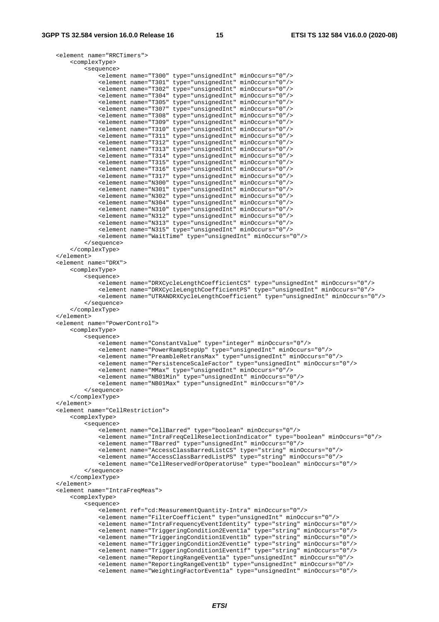```
 <element name="RRCTimers"> 
        <complexType> 
            <sequence> 
 <element name="T300" type="unsignedInt" minOccurs="0"/> 
 <element name="T301" type="unsignedInt" minOccurs="0"/> 
                <element name="T302" type="unsignedInt" minOccurs="0"/> 
 <element name="T304" type="unsignedInt" minOccurs="0"/> 
 <element name="T305" type="unsignedInt" minOccurs="0"/> 
                <element name="T307" type="unsignedInt" minOccurs="0"/> 
 <element name="T308" type="unsignedInt" minOccurs="0"/> 
 <element name="T309" type="unsignedInt" minOccurs="0"/> 
 <element name="T310" type="unsignedInt" minOccurs="0"/> 
 <element name="T311" type="unsignedInt" minOccurs="0"/> 
                <element name="T312" type="unsignedInt" minOccurs="0"/> 
 <element name="T313" type="unsignedInt" minOccurs="0"/> 
 <element name="T314" type="unsignedInt" minOccurs="0"/> 
 <element name="T315" type="unsignedInt" minOccurs="0"/> 
 <element name="T316" type="unsignedInt" minOccurs="0"/> 
                <element name="T317" type="unsignedInt" minOccurs="0"/> 
 <element name="N300" type="unsignedInt" minOccurs="0"/> 
 <element name="N301" type="unsignedInt" minOccurs="0"/> 
                <element name="N302" type="unsignedInt" minOccurs="0"/> 
 <element name="N304" type="unsignedInt" minOccurs="0"/> 
 <element name="N310" type="unsignedInt" minOccurs="0"/> 
 <element name="N312" type="unsignedInt" minOccurs="0"/> 
 <element name="N313" type="unsignedInt" minOccurs="0"/> 
                <element name="N315" type="unsignedInt" minOccurs="0"/> 
                <element name="WaitTime" type="unsignedInt" minOccurs="0"/> 
            </sequence> 
        </complexType> 
    </element> 
    <element name="DRX"> 
        <complexType> 
            <sequence> 
                <element name="DRXCycleLengthCoefficientCS" type="unsignedInt" minOccurs="0"/> 
                <element name="DRXCycleLengthCoefficientPS" type="unsignedInt" minOccurs="0"/> 
                <element name="UTRANDRXCycleLengthCoefficient" type="unsignedInt" minOccurs="0"/> 
            </sequence> 
        </complexType> 
    </element> 
    <element name="PowerControl"> 
        <complexType> 
            <sequence> 
                <element name="ConstantValue" type="integer" minOccurs="0"/> 
                <element name="PowerRampStepUp" type="unsignedInt" minOccurs="0"/> 
                <element name="PreambleRetransMax" type="unsignedInt" minOccurs="0"/> 
                <element name="PersistenceScaleFactor" type="unsignedInt" minOccurs="0"/> 
                <element name="MMax" type="unsignedInt" minOccurs="0"/> 
                <element name="NB01Min" type="unsignedInt" minOccurs="0"/> 
                <element name="NB01Max" type="unsignedInt" minOccurs="0"/> 
            </sequence> 
        </complexType> 
    </element> 
    <element name="CellRestriction"> 
        <complexType> 
            <sequence> 
                <element name="CellBarred" type="boolean" minOccurs="0"/> 
                <element name="IntraFreqCellReselectionIndicator" type="boolean" minOccurs="0"/> 
                <element name="TBarred" type="unsignedInt" minOccurs="0"/> 
                <element name="AccessClassBarredListCS" type="string" minOccurs="0"/> 
                <element name="AccessClassBarredListPS" type="string" minOccurs="0"/> 
                <element name="CellReservedForOperatorUse" type="boolean" minOccurs="0"/> 
            </sequence> 
        </complexType> 
    </element> 
    <element name="IntraFreqMeas"> 
        <complexType> 
            <sequence> 
                <element ref="cd:MeasurementQuantity-Intra" minOccurs="0"/> 
                <element name="FilterCoefficient" type="unsignedInt" minOccurs="0"/> 
                <element name="IntraFrequencyEventIdentity" type="string" minOccurs="0"/> 
 <element name="TriggeringCondition2Event1a" type="string" minOccurs="0"/> 
 <element name="TriggeringCondition1Event1b" type="string" minOccurs="0"/> 
 <element name="TriggeringCondition2Event1e" type="string" minOccurs="0"/> 
 <element name="TriggeringCondition1Event1f" type="string" minOccurs="0"/> 
                <element name="ReportingRangeEvent1a" type="unsignedInt" minOccurs="0"/> 
                <element name="ReportingRangeEvent1b" type="unsignedInt" minOccurs="0"/> 
                <element name="WeightingFactorEvent1a" type="unsignedInt" minOccurs="0"/>
```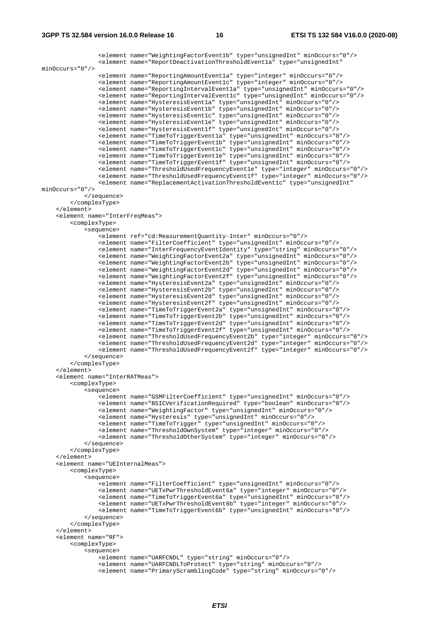```
 <element name="WeightingFactorEvent1b" type="unsignedInt" minOccurs="0"/> 
                <element name="ReportDeactivationThresholdEvent1a" type="unsignedInt" 
minOccurs="0"/> 
 <element name="ReportingAmountEvent1a" type="integer" minOccurs="0"/> 
 <element name="ReportingAmountEvent1c" type="integer" minOccurs="0"/> 
                <element name="ReportingIntervalEvent1a" type="unsignedInt" minOccurs="0"/> 
                <element name="ReportingIntervalEvent1c" type="unsignedInt" minOccurs="0"/> 
                <element name="HysteresisEvent1a" type="unsignedInt" minOccurs="0"/> 
                <element name="HysteresisEvent1b" type="unsignedInt" minOccurs="0"/> 
 <element name="HysteresisEvent1c" type="unsignedInt" minOccurs="0"/> 
 <element name="HysteresisEvent1e" type="unsignedInt" minOccurs="0"/> 
                <element name="HysteresisEvent1f" type="unsignedInt" minOccurs="0"/> 
 <element name="TimeToTriggerEvent1a" type="unsignedInt" minOccurs="0"/> 
 <element name="TimeToTriggerEvent1b" type="unsignedInt" minOccurs="0"/> 
 <element name="TimeToTriggerEvent1c" type="unsignedInt" minOccurs="0"/> 
 <element name="TimeToTriggerEvent1e" type="unsignedInt" minOccurs="0"/> 
                <element name="TimeToTriggerEvent1f" type="unsignedInt" minOccurs="0"/> 
 <element name="ThresholdUsedFrequencyEvent1e" type="integer" minOccurs="0"/> 
 <element name="ThresholdUsedFrequencyEvent1f" type="integer" minOccurs="0"/> 
                <element name="ReplacementActivationThresholdEvent1c" type="unsignedInt" 
minOccurs="0"/> 
            </sequence> 
        </complexType> 
    </element> 
    <element name="InterFreqMeas"> 
        <complexType> 
            <sequence> 
                <element ref="cd:MeasurementQuantity-Inter" minOccurs="0"/> 
                <element name="FilterCoefficient" type="unsignedInt" minOccurs="0"/> 
 <element name="InterFrequencyEventIdentity" type="string" minOccurs="0"/> 
 <element name="WeightingFactorEvent2a" type="unsignedInt" minOccurs="0"/> 
                <element name="WeightingFactorEvent2b" type="unsignedInt" minOccurs="0"/> 
 <element name="WeightingFactorEvent2d" type="unsignedInt" minOccurs="0"/> 
 <element name="WeightingFactorEvent2f" type="unsignedInt" minOccurs="0"/> 
 <element name="HysteresisEvent2a" type="unsignedInt" minOccurs="0"/> 
 <element name="HysteresisEvent2b" type="unsignedInt" minOccurs="0"/> 
                <element name="HysteresisEvent2d" type="unsignedInt" minOccurs="0"/> 
                <element name="HysteresisEvent2f" type="unsignedInt" minOccurs="0"/> 
                <element name="TimeToTriggerEvent2a" type="unsignedInt" minOccurs="0"/> 
                <element name="TimeToTriggerEvent2b" type="unsignedInt" minOccurs="0"/> 
 <element name="TimeToTriggerEvent2d" type="unsignedInt" minOccurs="0"/> 
 <element name="TimeToTriggerEvent2f" type="unsignedInt" minOccurs="0"/> 
 <element name="ThresholdUsedFrequencyEvent2b" type="integer" minOccurs="0"/> 
 <element name="ThresholdUsedFrequencyEvent2d" type="integer" minOccurs="0"/> 
                <element name="ThresholdUsedFrequencyEvent2f" type="integer" minOccurs="0"/> 
            </sequence> 
        </complexType> 
    </element> 
     <element name="InterRATMeas"> 
        <complexType> 
            <sequence> 
                <element name="GSMFilterCoefficient" type="unsignedInt" minOccurs="0"/> 
                <element name="BSICVerificationRequired" type="boolean" minOccurs="0"/> 
                <element name="WeightingFactor" type="unsignedInt" minOccurs="0"/> 
                <element name="Hysteresis" type="unsignedInt" minOccurs="0"/> 
                <element name="TimeToTrigger" type="unsignedInt" minOccurs="0"/> 
                <element name="ThresholdOwnSystem" type="integer" minOccurs="0"/> 
                <element name="ThresholdOtherSystem" type="integer" minOccurs="0"/> 
            </sequence> 
        </complexType> 
    </element> 
     <element name="UEInternalMeas"> 
        <complexType> 
            <sequence> 
               .<br><element name="FilterCoefficient" type="unsignedInt" minOccurs="0"/>
                <element name="UETxPwrThresholdEvent6a" type="integer" minOccurs="0"/> 
                <element name="TimeToTriggerEvent6a" type="unsignedInt" minOccurs="0"/> 
                <element name="UETxPwrThresholdEvent6b" type="integer" minOccurs="0"/> 
                <element name="TimeToTriggerEvent6b" type="unsignedInt" minOccurs="0"/> 
            </sequence> 
        </complexType> 
     </element> 
    <element name="RF"> 
        <complexType> 
            <sequence> 
                <element name="UARFCNDL" type="string" minOccurs="0"/> 
 <element name="UARFCNDLToProtect" type="string" minOccurs="0"/> 
 <element name="PrimaryScramblingCode" type="string" minOccurs="0"/>
```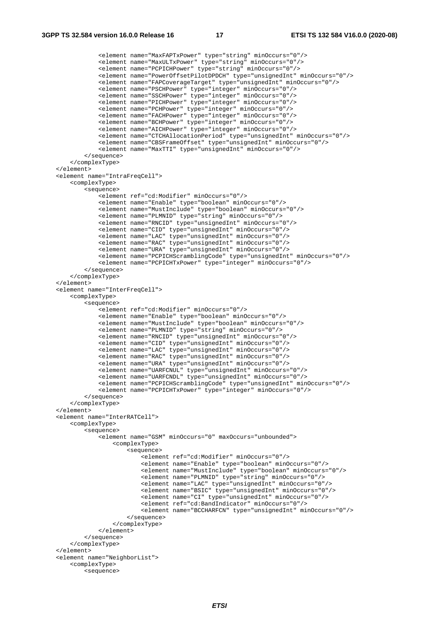```
 <element name="MaxFAPTxPower" type="string" minOccurs="0"/> 
 <element name="MaxULTxPower" type="string" minOccurs="0"/> 
 <element name="PCPICHPower" type="string" minOccurs="0"/> 
                 <element name="PowerOffsetPilotDPDCH" type="unsignedInt" minOccurs="0"/> 
                 <element name="FAPCoverageTarget" type="unsignedInt" minOccurs="0"/> 
                 <element name="PSCHPower" type="integer" minOccurs="0"/> 
                 <element name="SSCHPower" type="integer" minOccurs="0"/> 
                 <element name="PICHPower" type="integer" minOccurs="0"/> 
                 <element name="PCHPower" type="integer" minOccurs="0"/> 
                 <element name="FACHPower" type="integer" minOccurs="0"/> 
                 <element name="BCHPower" type="integer" minOccurs="0"/> 
                 <element name="AICHPower" type="integer" minOccurs="0"/> 
                 <element name="CTCHAllocationPeriod" type="unsignedInt" minOccurs="0"/> 
                 <element name="CBSFrameOffset" type="unsignedInt" minOccurs="0"/> 
                 <element name="MaxTTI" type="unsignedInt" minOccurs="0"/> 
             </sequence> 
         </complexType> 
    </element> 
    <element name="IntraFreqCell"> 
        <complexType> 
             <sequence> 
                 <element ref="cd:Modifier" minOccurs="0"/> 
                 <element name="Enable" type="boolean" minOccurs="0"/> 
                 <element name="MustInclude" type="boolean" minOccurs="0"/> 
                 <element name="PLMNID" type="string" minOccurs="0"/> 
                 <element name="RNCID" type="unsignedInt" minOccurs="0"/> 
                 <element name="CID" type="unsignedInt" minOccurs="0"/> 
                 <element name="LAC" type="unsignedInt" minOccurs="0"/> 
                 <element name="RAC" type="unsignedInt" minOccurs="0"/> 
                 <element name="URA" type="unsignedInt" minOccurs="0"/> 
                 <element name="PCPICHScramblingCode" type="unsignedInt" minOccurs="0"/> 
                 <element name="PCPICHTxPower" type="integer" minOccurs="0"/> 
             </sequence> 
         </complexType> 
    </element> 
    <element name="InterFreqCell"> 
        <complexType> 
             <sequence> 
                 <element ref="cd:Modifier" minOccurs="0"/> 
                 <element name="Enable" type="boolean" minOccurs="0"/> 
                 <element name="MustInclude" type="boolean" minOccurs="0"/> 
                 <element name="PLMNID" type="string" minOccurs="0"/> 
                 <element name="RNCID" type="unsignedInt" minOccurs="0"/> 
                 <element name="CID" type="unsignedInt" minOccurs="0"/> 
                 <element name="LAC" type="unsignedInt" minOccurs="0"/> 
 <element name="RAC" type="unsignedInt" minOccurs="0"/> 
 <element name="URA" type="unsignedInt" minOccurs="0"/> 
 <element name="UARFCNUL" type="unsignedInt" minOccurs="0"/> 
 <element name="UARFCNDL" type="unsignedInt" minOccurs="0"/> 
                 <element name="PCPICHScramblingCode" type="unsignedInt" minOccurs="0"/> 
                 <element name="PCPICHTxPower" type="integer" minOccurs="0"/> 
             </sequence> 
        </complexType> 
    </element> 
    <element name="InterRATCell"> 
        <complexType> 
             <sequence> 
                 <element name="GSM" minOccurs="0" maxOccurs="unbounded"> 
                     <complexType> 
                         <sequence> 
                             <element ref="cd:Modifier" minOccurs="0"/> 
                             <element name="Enable" type="boolean" minOccurs="0"/> 
                             <element name="MustInclude" type="boolean" minOccurs="0"/> 
                             <element name="PLMNID" type="string" minOccurs="0"/> 
                             <element name="LAC" type="unsignedInt" minOccurs="0"/> 
                             <element name="BSIC" type="unsignedInt" minOccurs="0"/> 
                             <element name="CI" type="unsignedInt" minOccurs="0"/> 
                             <element ref="cd:BandIndicator" minOccurs="0"/> 
                             <element name="BCCHARFCN" type="unsignedInt" minOccurs="0"/> 
                         </sequence> 
                     </complexType> 
                 </element> 
             </sequence> 
         </complexType> 
    </element> 
    <element name="NeighborList"> 
        <complexType> 
             <sequence>
```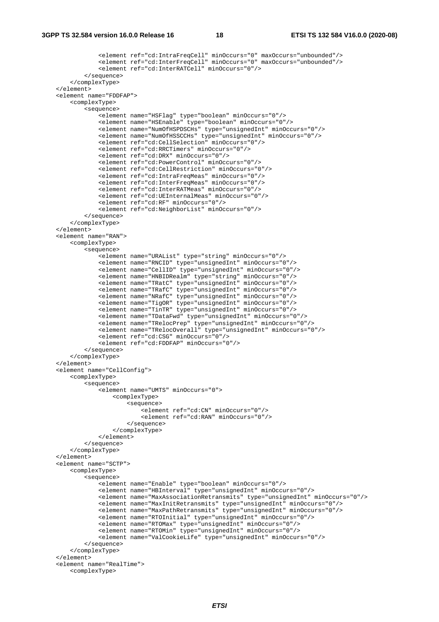```
 <element ref="cd:IntraFreqCell" minOccurs="0" maxOccurs="unbounded"/> 
                 <element ref="cd:InterFreqCell" minOccurs="0" maxOccurs="unbounded"/> 
                 <element ref="cd:InterRATCell" minOccurs="0"/> 
             </sequence> 
         </complexType> 
     </element> 
     <element name="FDDFAP"> 
         <complexType> 
             <sequence> 
                 <element name="HSFlag" type="boolean" minOccurs="0"/> 
                 <element name="HSEnable" type="boolean" minOccurs="0"/> 
                 <element name="NumOfHSPDSCHs" type="unsignedInt" minOccurs="0"/> 
                 <element name="NumOfHSSCCHs" type="unsignedInt" minOccurs="0"/> 
                 <element ref="cd:CellSelection" minOccurs="0"/> 
                 <element ref="cd:RRCTimers" minOccurs="0"/> 
                 <element ref="cd:DRX" minOccurs="0"/> 
                 <element ref="cd:PowerControl" minOccurs="0"/> 
                 <element ref="cd:CellRestriction" minOccurs="0"/> 
                 <element ref="cd:IntraFreqMeas" minOccurs="0"/> 
                 <element ref="cd:InterFreqMeas" minOccurs="0"/> 
                 <element ref="cd:InterRATMeas" minOccurs="0"/> 
                 <element ref="cd:UEInternalMeas" minOccurs="0"/> 
                 <element ref="cd:RF" minOccurs="0"/> 
                 <element ref="cd:NeighborList" minOccurs="0"/> 
             </sequence> 
         </complexType> 
    </element> 
     <element name="RAN"> 
         <complexType> 
             <sequence> 
                .<br><element name="URAList" type="string" minOccurs="0"/>
                 <element name="RNCID" type="unsignedInt" minOccurs="0"/> 
                 <element name="CellID" type="unsignedInt" minOccurs="0"/> 
                 <element name="HNBIDRealm" type="string" minOccurs="0"/> 
                 <element name="TRatC" type="unsignedInt" minOccurs="0"/> 
                 <element name="TRafC" type="unsignedInt" minOccurs="0"/> 
                 <element name="NRafC" type="unsignedInt" minOccurs="0"/> 
 <element name="TigOR" type="unsignedInt" minOccurs="0"/> 
 <element name="TinTR" type="unsignedInt" minOccurs="0"/> 
                 <element name="TDataFwd" type="unsignedInt" minOccurs="0"/> 
                 <element name="TRelocPrep" type="unsignedInt" minOccurs="0"/> 
                 <element name="TRelocOverall" type="unsignedInt" minOccurs="0"/> 
                 <element ref="cd:CSG" minOccurs="0"/> 
                 <element ref="cd:FDDFAP" minOccurs="0"/> 
             </sequence> 
         </complexType> 
    </element> 
     <element name="CellConfig"> 
         <complexType> 
             <sequence> 
                 <element name="UMTS" minOccurs="0"> 
                     <complexType> 
                          <sequence> 
                              <element ref="cd:CN" minOccurs="0"/> 
                              <element ref="cd:RAN" minOccurs="0"/> 
                          </sequence> 
                      </complexType> 
                 </element> 
             </sequence> 
         </complexType> 
    </element> 
     <element name="SCTP"> 
         <complexType> 
             <sequence> 
                .<br><element name="Enable" type="boolean" minOccurs="0"/>
                 <element name="HBInterval" type="unsignedInt" minOccurs="0"/> 
                 <element name="MaxAssociationRetransmits" type="unsignedInt" minOccurs="0"/> 
                 <element name="MaxInitRetransmits" type="unsignedInt" minOccurs="0"/> 
                 <element name="MaxPathRetransmits" type="unsignedInt" minOccurs="0"/> 
                 <element name="RTOInitial" type="unsignedInt" minOccurs="0"/> 
                 <element name="RTOMax" type="unsignedInt" minOccurs="0"/> 
                 <element name="RTOMin" type="unsignedInt" minOccurs="0"/> 
                 <element name="ValCookieLife" type="unsignedInt" minOccurs="0"/> 
             </sequence> 
         </complexType> 
     </element> 
     <element name="RealTime"> 
         <complexType>
```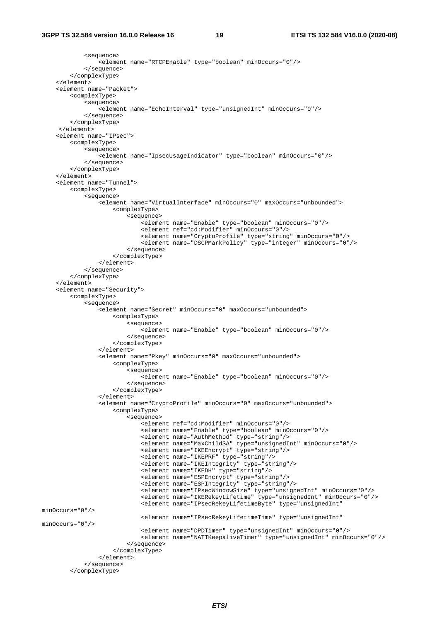```
 <sequence> 
                 <element name="RTCPEnable" type="boolean" minOccurs="0"/> 
             </sequence> 
         </complexType> 
     </element> 
     <element name="Packet"> 
         <complexType> 
             <sequence> 
                 <element name="EchoInterval" type="unsignedInt" minOccurs="0"/> 
             </sequence> 
         </complexType> 
      </element> 
     <element name="IPsec"> 
         <complexType> 
             <sequence> 
                 <element name="IpsecUsageIndicator" type="boolean" minOccurs="0"/> 
             </sequence> 
         </complexType> 
     </element> 
     <element name="Tunnel"> 
         <complexType> 
             <sequence> 
                 <element name="VirtualInterface" minOccurs="0" maxOccurs="unbounded"> 
                     <complexType> 
                         <sequence> 
                              <element name="Enable" type="boolean" minOccurs="0"/> 
                              <element ref="cd:Modifier" minOccurs="0"/> 
 <element name="CryptoProfile" type="string" minOccurs="0"/> 
 <element name="DSCPMarkPolicy" type="integer" minOccurs="0"/> 
                         </sequence> 
                     </complexType> 
                 </element> 
             </sequence> 
         </complexType> 
     </element> 
     <element name="Security"> 
         <complexType> 
             <sequence> 
                 <element name="Secret" minOccurs="0" maxOccurs="unbounded"> 
                     <complexType> 
                         <sequence> 
                             <element name="Enable" type="boolean" minOccurs="0"/> 
                         </sequence> 
                      </complexType> 
                 </element> 
                 <element name="Pkey" minOccurs="0" maxOccurs="unbounded"> 
                     <complexType> 
                         <sequence> 
                              <element name="Enable" type="boolean" minOccurs="0"/> 
                          </sequence> 
                      </complexType> 
                 </element> 
                 <element name="CryptoProfile" minOccurs="0" maxOccurs="unbounded"> 
                      <complexType> 
                         <sequence> 
                             .<br><element ref="cd:Modifier" minOccurs="0"/>
                              <element name="Enable" type="boolean" minOccurs="0"/> 
                              <element name="AuthMethod" type="string"/> 
 <element name="MaxChildSA" type="unsignedInt" minOccurs="0"/> 
 <element name="IKEEncrypt" type="string"/> 
                              <element name="IKEPRF" type="string"/> 
                              <element name="IKEIntegrity" type="string"/> 
                              <element name="IKEDH" type="string"/> 
                              <element name="ESPEncrypt" type="string"/> 
                              <element name="ESPIntegrity" type="string"/> 
                              <element name="IPsecWindowSize" type="unsignedInt" minOccurs="0"/> 
                              <element name="IKERekeyLifetime" type="unsignedInt" minOccurs="0"/> 
                              <element name="IPsecRekeyLifetimeByte" type="unsignedInt" 
minOccurs="0"/> 
                              <element name="IPsecRekeyLifetimeTime" type="unsignedInt" 
minOccurs="0"/> 
                              <element name="DPDTimer" type="unsignedInt" minOccurs="0"/> 
                              <element name="NATTKeepaliveTimer" type="unsignedInt" minOccurs="0"/> 
                         </sequence> 
                     </complexType> 
                 </element> 
             </sequence> 
         </complexType>
```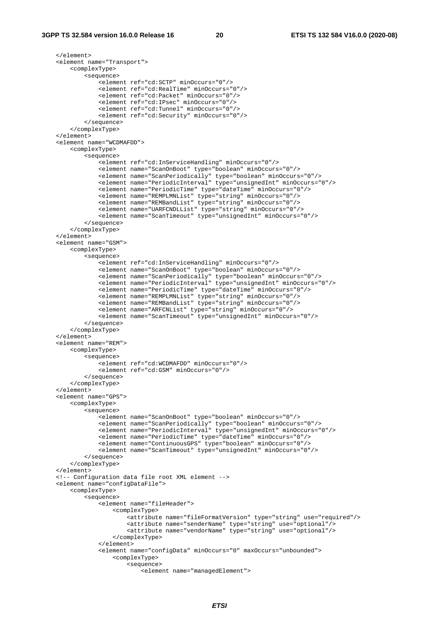</element> <element name="Transport"> <complexType> <sequence> <element ref="cd:SCTP" minOccurs="0"/> <element ref="cd:RealTime" minOccurs="0"/> <element ref="cd:Packet" minOccurs="0"/> <element ref="cd:IPsec" minOccurs="0"/> <element ref="cd:Tunnel" minOccurs="0"/> <element ref="cd:Security" minOccurs="0"/> </sequence> </complexType> </element> <element name="WCDMAFDD"> <complexType> <sequence> <element ref="cd:InServiceHandling" minOccurs="0"/> <element name="ScanOnBoot" type="boolean" minOccurs="0"/> <element name="ScanPeriodically" type="boolean" minOccurs="0"/> <element name="PeriodicInterval" type="unsignedInt" minOccurs="0"/> <element name="PeriodicTime" type="dateTime" minOccurs="0"/> <element name="REMPLMNList" type="string" minOccurs="0"/> <element name="REMBandList" type="string" minOccurs="0"/> <element name="UARFCNDLList" type="string" minOccurs="0"/> <element name="ScanTimeout" type="unsignedInt" minOccurs="0"/> </sequence> </complexType> </element> <element name="GSM"> <complexType> <sequence> <element ref="cd:InServiceHandling" minOccurs="0"/> <element name="ScanOnBoot" type="boolean" minOccurs="0"/> <element name="ScanPeriodically" type="boolean" minOccurs="0"/> <element name="PeriodicInterval" type="unsignedInt" minOccurs="0"/> <element name="PeriodicTime" type="dateTime" minOccurs="0"/> <element name="REMPLMNList" type="string" minOccurs="0"/> <element name="REMBandList" type="string" minOccurs="0"/> <element name="ARFCNList" type="string" minOccurs="0"/> <element name="ScanTimeout" type="unsignedInt" minOccurs="0"/> </sequence> </complexType> </element> <element name="REM"> <complexType> <sequence> <element ref="cd:WCDMAFDD" minOccurs="0"/> <element ref="cd:GSM" minOccurs="0"/> </sequence> </complexType> </element> <element name="GPS"> <complexType> <sequence> <element name="ScanOnBoot" type="boolean" minOccurs="0"/> <element name="ScanPeriodically" type="boolean" minOccurs="0"/> <element name="PeriodicInterval" type="unsignedInt" minOccurs="0"/> <element name="PeriodicTime" type="dateTime" minOccurs="0"/> <element name="ContinuousGPS" type="boolean" minOccurs="0"/> <element name="ScanTimeout" type="unsignedInt" minOccurs="0"/> </sequence> </complexType> </element> <!-- Configuration data file root XML element --> <element name="configDataFile"> <complexType> <sequence> <element name="fileHeader"> <complexType> <attribute name="fileFormatVersion" type="string" use="required"/> <attribute name="senderName" type="string" use="optional"/> <attribute name="vendorName" type="string" use="optional"/> </complexType> </element> <element name="configData" minOccurs="0" maxOccurs="unbounded"> <complexType> <sequence>

<element name="managedElement">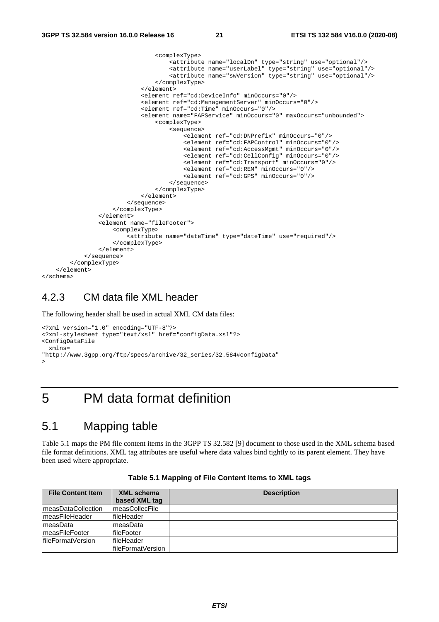```
 <complexType> 
                                        <attribute name="localDn" type="string" use="optional"/> 
                                        <attribute name="userLabel" type="string" use="optional"/> 
                                        <attribute name="swVersion" type="string" use="optional"/> 
                                    </complexType> 
                               </element> 
                               <element ref="cd:DeviceInfo" minOccurs="0"/> 
                               <element ref="cd:ManagementServer" minOccurs="0"/> 
                               <element ref="cd:Time" minOccurs="0"/> 
                               <element name="FAPService" minOccurs="0" maxOccurs="unbounded"> 
                                    <complexType> 
                                        <sequence> 
                                            <element ref="cd:DNPrefix" minOccurs="0"/> 
                                            <element ref="cd:FAPControl" minOccurs="0"/> 
                                            <element ref="cd:AccessMgmt" minOccurs="0"/> 
                                            <element ref="cd:CellConfig" minOccurs="0"/> 
                                            <element ref="cd:Transport" minOccurs="0"/> 
                                            <element ref="cd:REM" minOccurs="0"/> 
                                            <element ref="cd:GPS" minOccurs="0"/> 
                                        </sequence> 
                                    </complexType> 
                               </element> 
                           </sequence> 
                      </complexType> 
                  </element> 
                  <element name="fileFooter"> 
                      <complexType> 
                           <attribute name="dateTime" type="dateTime" use="required"/> 
                      </complexType> 
                 \epsilon/element>
              </sequence> 
         </complexType> 
     </element> 
</schema>
```
#### 4.2.3 CM data file XML header

The following header shall be used in actual XML CM data files:

```
<?xml version="1.0" encoding="UTF-8"?> 
<?xml-stylesheet type="text/xsl" href="configData.xsl"?> 
<ConfigDataFile 
  xmlns= 
"http://www.3gpp.org/ftp/specs/archive/32_series/32.584#configData" 
>
```
#### 5 PM data format definition

#### 5.1 Mapping table

Table 5.1 maps the PM file content items in the 3GPP TS 32.582 [9] document to those used in the XML schema based file format definitions. XML tag attributes are useful where data values bind tightly to its parent element. They have been used where appropriate.

| XML schema<br><b>File Content Item</b> |                        | <b>Description</b> |
|----------------------------------------|------------------------|--------------------|
|                                        | based XML tag          |                    |
| <b>ImeasDataCollection</b>             | <b>ImeasCollecFile</b> |                    |
| ImeasFileHeader                        | fileHeader             |                    |
| ImeasData                              | ImeasData              |                    |
| <b>ImeasFileFooter</b>                 | fileFooter             |                    |
| IfileFormatVersion                     | fileHeader             |                    |
|                                        | lfileFormatVersion     |                    |

**Table 5.1 Mapping of File Content Items to XML tags**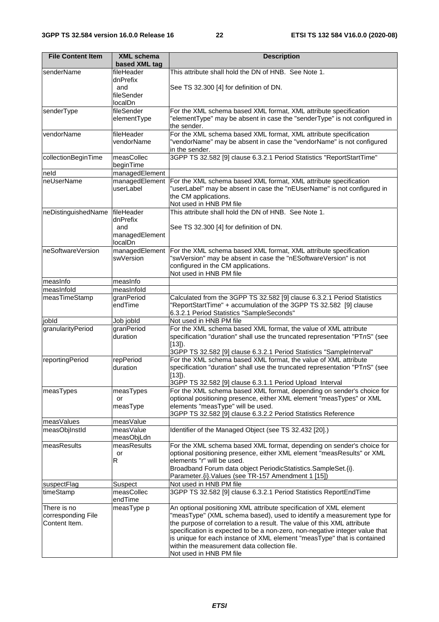| <b>File Content Item</b> | <b>XML</b> schema           | <b>Description</b>                                                                                                                                                                                                      |
|--------------------------|-----------------------------|-------------------------------------------------------------------------------------------------------------------------------------------------------------------------------------------------------------------------|
|                          | based XML tag               |                                                                                                                                                                                                                         |
| senderName               | fileHeader<br>dnPrefix      | This attribute shall hold the DN of HNB. See Note 1.                                                                                                                                                                    |
|                          | and                         | See TS 32.300 [4] for definition of DN.                                                                                                                                                                                 |
|                          | fileSender                  |                                                                                                                                                                                                                         |
|                          | localDn                     |                                                                                                                                                                                                                         |
| senderType               | fileSender<br>elementType   | For the XML schema based XML format, XML attribute specification<br>"elementType" may be absent in case the "senderType" is not configured in                                                                           |
|                          |                             | the sender.                                                                                                                                                                                                             |
| vendorName               | fileHeader                  | For the XML schema based XML format, XML attribute specification                                                                                                                                                        |
|                          | vendorName                  | "vendorName" may be absent in case the "vendorName" is not configured<br>in the sender.                                                                                                                                 |
| collectionBeginTime      | measCollec                  | 3GPP TS 32.582 [9] clause 6.3.2.1 Period Statistics "ReportStartTime"                                                                                                                                                   |
|                          | beginTime                   |                                                                                                                                                                                                                         |
| neld                     | managedElement              |                                                                                                                                                                                                                         |
| neUserName               | managedElement<br>userLabel | For the XML schema based XML format, XML attribute specification<br>"userLabel" may be absent in case the "nEUserName" is not configured in<br>the CM applications.<br>Not used in HNB PM file                          |
| neDistinguishedName      | fileHeader<br>dnPrefix      | This attribute shall hold the DN of HNB. See Note 1.                                                                                                                                                                    |
|                          | and                         | See TS 32.300 [4] for definition of DN.                                                                                                                                                                                 |
|                          | managedElement              |                                                                                                                                                                                                                         |
|                          | localDn                     |                                                                                                                                                                                                                         |
| neSoftwareVersion        | managedElement              | For the XML schema based XML format, XML attribute specification                                                                                                                                                        |
|                          | swVersion                   | "swVersion" may be absent in case the "nESoftwareVersion" is not                                                                                                                                                        |
|                          |                             | configured in the CM applications.                                                                                                                                                                                      |
| measInfo                 | measInfo                    | Not used in HNB PM file                                                                                                                                                                                                 |
| measInfold               | measInfold                  |                                                                                                                                                                                                                         |
| measTimeStamp            | granPeriod                  | Calculated from the 3GPP TS 32.582 [9] clause 6.3.2.1 Period Statistics                                                                                                                                                 |
|                          | endTime                     | "ReportStartTime" + accumulation of the 3GPP TS 32.582 [9] clause                                                                                                                                                       |
| jobld                    | Job jobld                   | 6.3.2.1 Period Statistics "SampleSeconds"<br>Not used in HNB PM file                                                                                                                                                    |
| granularityPeriod        | granPeriod                  | For the XML schema based XML format, the value of XML attribute                                                                                                                                                         |
|                          | duration                    | specification "duration" shall use the truncated representation "PTnS" (see<br>$[13]$ ).                                                                                                                                |
|                          |                             | 3GPP TS 32.582 [9] clause 6.3.2.1 Period Statistics "SampleInterval"                                                                                                                                                    |
| reportingPeriod          | repPeriod<br>duration       | For the XML schema based XML format, the value of XML attribute<br>specification "duration" shall use the truncated representation "PTnS" (see<br>$[13]$ ).<br>3GPP TS 32.582 [9] clause 6.3.1.1 Period Upload Interval |
| measTypes                | measTypes                   | For the XML schema based XML format, depending on sender's choice for                                                                                                                                                   |
|                          | or                          | optional positioning presence, either XML element "measTypes" or XML                                                                                                                                                    |
|                          | measType                    | elements "measType" will be used.                                                                                                                                                                                       |
|                          |                             | 3GPP TS 32.582 [9] clause 6.3.2.2 Period Statistics Reference                                                                                                                                                           |
| measValues               | measValue                   |                                                                                                                                                                                                                         |
| measObjInstId            | measValue<br>measObjLdn     | Identifier of the Managed Object (see TS 32.432 [20].)                                                                                                                                                                  |
| measResults              | measResults                 | For the XML schema based XML format, depending on sender's choice for                                                                                                                                                   |
|                          | or                          | optional positioning presence, either XML element "measResults" or XML                                                                                                                                                  |
|                          | R                           | elements "r" will be used.                                                                                                                                                                                              |
|                          |                             | Broadband Forum data object PeriodicStatistics.SampleSet.{i}.                                                                                                                                                           |
|                          |                             | Parameter. {i}. Values (see TR-157 Amendment 1 [15])                                                                                                                                                                    |
| suspectFlag              | Suspect                     | Not used in HNB PM file                                                                                                                                                                                                 |
| timeStamp                | measCollec<br>endTime       | 3GPP TS 32.582 [9] clause 6.3.2.1 Period Statistics ReportEndTime                                                                                                                                                       |
| There is no              | measType p                  | An optional positioning XML attribute specification of XML element                                                                                                                                                      |
| corresponding File       |                             | "measType" (XML schema based), used to identify a measurement type for                                                                                                                                                  |
| Content Item.            |                             | the purpose of correlation to a result. The value of this XML attribute                                                                                                                                                 |
|                          |                             | specification is expected to be a non-zero, non-negative integer value that<br>is unique for each instance of XML element "measType" that is contained                                                                  |
|                          |                             | within the measurement data collection file.                                                                                                                                                                            |
|                          |                             | Not used in HNB PM file                                                                                                                                                                                                 |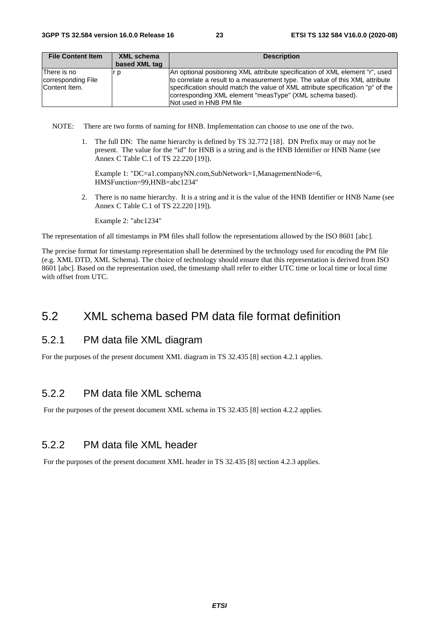| <b>File Content Item</b>                           | <b>XML</b> schema | <b>Description</b>                                                                                                                                                                                                                                                                                                                    |
|----------------------------------------------------|-------------------|---------------------------------------------------------------------------------------------------------------------------------------------------------------------------------------------------------------------------------------------------------------------------------------------------------------------------------------|
|                                                    | based XML tag     |                                                                                                                                                                                                                                                                                                                                       |
| There is no<br>corresponding File<br>Content Item. | r p               | An optional positioning XML attribute specification of XML element "r", used<br>to correlate a result to a measurement type. The value of this XML attribute<br>specification should match the value of XML attribute specification "p" of the<br>corresponding XML element "measType" (XML schema based).<br>Not used in HNB PM file |

NOTE: There are two forms of naming for HNB. Implementation can choose to use one of the two.

1. The full DN: The name hierarchy is defined by TS 32.772 [18]. DN Prefix may or may not be present. The value for the "id" for HNB is a string and is the HNB Identifier or HNB Name (see Annex C Table C.1 of TS 22.220 [19]).

Example 1: "DC=a1.companyNN.com,SubNetwork=1,ManagementNode=6, HMSFunction=99,HNB=abc1234"

2. There is no name hierarchy. It is a string and it is the value of the HNB Identifier or HNB Name (see Annex C Table C.1 of TS 22.220 [19]).

Example 2: "abc1234"

The representation of all timestamps in PM files shall follow the representations allowed by the ISO 8601 [abc].

The precise format for timestamp representation shall be determined by the technology used for encoding the PM file (e.g. XML DTD, XML Schema). The choice of technology should ensure that this representation is derived from ISO 8601 [abc]. Based on the representation used, the timestamp shall refer to either UTC time or local time or local time with offset from UTC.

#### 5.2 XML schema based PM data file format definition

#### 5.2.1 PM data file XML diagram

For the purposes of the present document XML diagram in TS 32.435 [8] section 4.2.1 applies.

#### 5.2.2 PM data file XML schema

For the purposes of the present document XML schema in TS 32.435 [8] section 4.2.2 applies.

#### 5.2.2 PM data file XML header

For the purposes of the present document XML header in TS 32.435 [8] section 4.2.3 applies.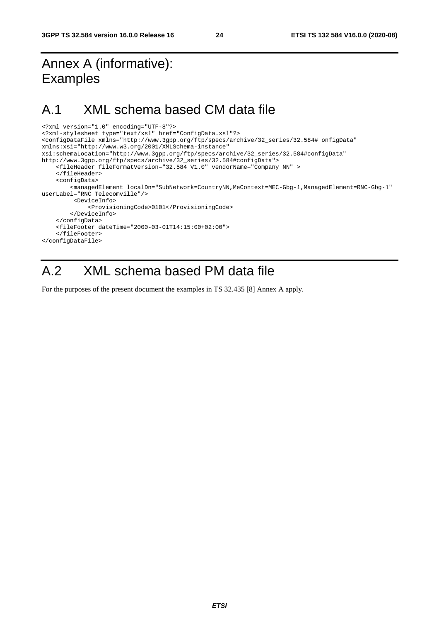### Annex A (informative): Examples

### A.1 XML schema based CM data file

```
<?xml version="1.0" encoding="UTF-8"?> 
<?xml-stylesheet type="text/xsl" href="ConfigData.xsl"?> 
<configDataFile xmlns="http://www.3gpp.org/ftp/specs/archive/32_series/32.584# onfigData" 
xmlns:xsi="http://www.w3.org/2001/XMLSchema-instance" 
xsi:schemaLocation="http://www.3gpp.org/ftp/specs/archive/32_series/32.584#configData" 
http://www.3gpp.org/ftp/specs/archive/32_series/32.584#configData"> 
     <fileHeader fileFormatVersion="32.584 V1.0" vendorName="Company NN" > 
     </fileHeader> 
     <configData> 
         <managedElement localDn="SubNetwork=CountryNN,MeContext=MEC-Gbg-1,ManagedElement=RNC-Gbg-1" 
userLabel="RNC Telecomville"/> 
          <DeviceInfo> 
              <ProvisioningCode>0101</ProvisioningCode> 
         </DeviceInfo> 
     </configData> 
     <fileFooter dateTime="2000-03-01T14:15:00+02:00"> 
     </fileFooter> 
</configDataFile>
```
### A.2 XML schema based PM data file

For the purposes of the present document the examples in TS 32.435 [8] Annex A apply.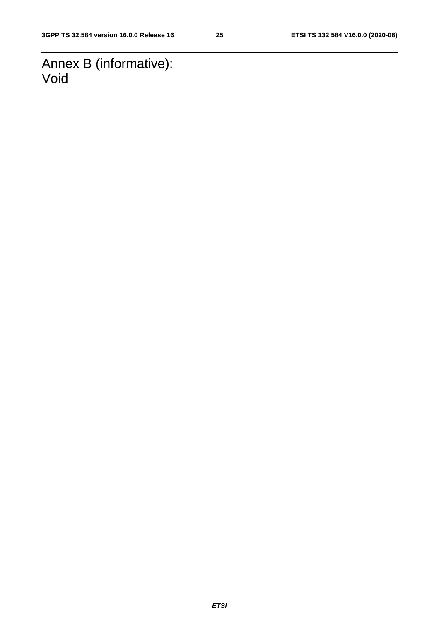Annex B (informative): Void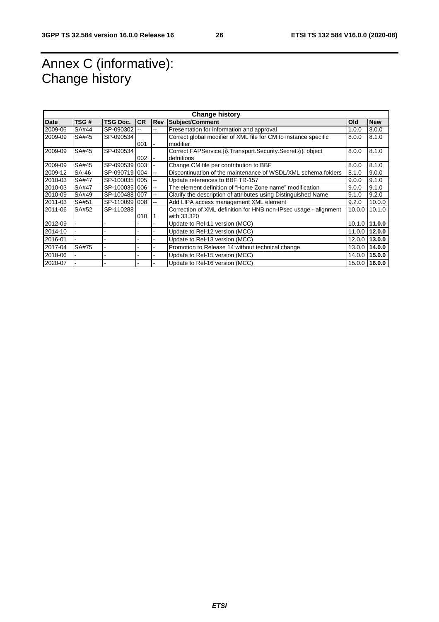### Annex C (informative): Change history

| <b>Change history</b> |              |               |           |                          |                                                                   |        |               |
|-----------------------|--------------|---------------|-----------|--------------------------|-------------------------------------------------------------------|--------|---------------|
| Date                  | TSG#         | TSG Doc.      | <b>CR</b> | <b>Rev</b>               | Subject/Comment                                                   | Old    | <b>New</b>    |
| 2009-06               | SA#44        | SP-090302     |           | --                       | Presentation for information and approval                         | 1.0.0  | 8.0.0         |
| 2009-09               | SA#45        | SP-090534     |           |                          | Correct global modifier of XML file for CM to instance specific   | 8.0.0  | 8.1.0         |
|                       |              |               | 001       |                          | modifier                                                          |        |               |
| 2009-09               | SA#45        | SP-090534     |           |                          | Correct FAPService. (i). Transport. Security. Secret. (i). object | 8.0.0  | 8.1.0         |
|                       |              |               | 002       |                          | defnitions                                                        |        |               |
| 2009-09               | SA#45        | SP-090539     | 003       |                          | Change CM file per contribution to BBF                            | 8.0.0  | 8.1.0         |
| 2009-12               | SA-46        | SP-090719     | 004       | $\overline{\phantom{a}}$ | Discontinuation of the maintenance of WSDL/XML schema folders     | 8.1.0  | 9.0.0         |
| 2010-03               | <b>SA#47</b> | SP-100035     | 005       | --                       | Update references to BBF TR-157                                   | 9.0.0  | 9.1.0         |
| 2010-03               | <b>SA#47</b> | SP-100035     | 006       | --                       | The element definition of "Home Zone name" modification           | 9.0.0  | 9.1.0         |
| 2010-09               | SA#49        | SP-100488 007 |           | $\overline{\phantom{a}}$ | Clarify the description of attributes using Distinguished Name    | 9.1.0  | 9.2.0         |
| 2011-03               | SA#51        | SP-110099     | 008       | $\overline{\phantom{a}}$ | Add LIPA access management XML element                            | 9.2.0  | 10.0.0        |
| 2011-06               | SA#52        | SP-110288     |           |                          | Correction of XML definition for HNB non-IPsec usage - alignment  | 10.0.0 | 10.1.0        |
|                       |              |               | 010       |                          | with 33.320                                                       |        |               |
| 2012-09               |              |               |           |                          | Update to Rel-11 version (MCC)                                    |        | 10.1.0 11.0.0 |
| 2014-10               |              |               |           |                          | Update to Rel-12 version (MCC)                                    |        | 11.0.0 12.0.0 |
| 2016-01               |              |               |           |                          | Update to Rel-13 version (MCC)                                    |        | 12.0.0 13.0.0 |
| 2017-04               | SA#75        |               |           |                          | Promotion to Release 14 without technical change                  |        | 13.0.0 14.0.0 |
| 2018-06               |              |               |           |                          | Update to Rel-15 version (MCC)                                    |        | 14.0.0 15.0.0 |
| 2020-07               |              |               |           |                          | Update to Rel-16 version (MCC)                                    |        | 15.0.0 16.0.0 |